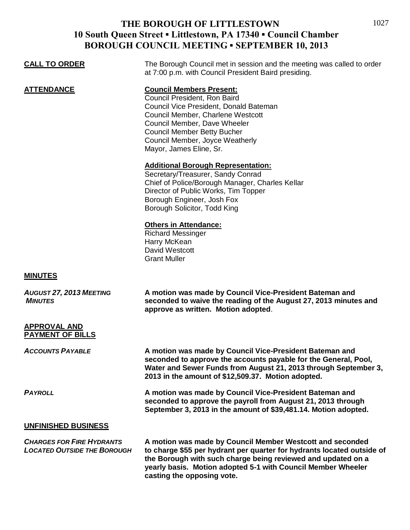## **THE BOROUGH OF LITTLESTOWN 10 South Queen Street ▪ Littlestown, PA 17340 ▪ Council Chamber BOROUGH COUNCIL MEETING ▪ SEPTEMBER 10, 2013**

| <b>CALL TO ORDER</b>                                                   | The Borough Council met in session and the meeting was called to order<br>at 7:00 p.m. with Council President Baird presiding.                                                                                                                                                     |
|------------------------------------------------------------------------|------------------------------------------------------------------------------------------------------------------------------------------------------------------------------------------------------------------------------------------------------------------------------------|
| <b>ATTENDANCE</b>                                                      | <b>Council Members Present:</b><br>Council President, Ron Baird<br>Council Vice President, Donald Bateman<br>Council Member, Charlene Westcott<br>Council Member, Dave Wheeler<br><b>Council Member Betty Bucher</b><br>Council Member, Joyce Weatherly<br>Mayor, James Eline, Sr. |
|                                                                        | <b>Additional Borough Representation:</b><br>Secretary/Treasurer, Sandy Conrad<br>Chief of Police/Borough Manager, Charles Kellar<br>Director of Public Works, Tim Topper<br>Borough Engineer, Josh Fox<br>Borough Solicitor, Todd King                                            |
|                                                                        | <b>Others in Attendance:</b><br><b>Richard Messinger</b><br>Harry McKean<br><b>David Westcott</b><br><b>Grant Muller</b>                                                                                                                                                           |
| <b>MINUTES</b>                                                         |                                                                                                                                                                                                                                                                                    |
| AUGUST 27, 2013 MEETING<br><b>MINUTES</b>                              | A motion was made by Council Vice-President Bateman and<br>seconded to waive the reading of the August 27, 2013 minutes and<br>approve as written. Motion adopted.                                                                                                                 |
| <b>APPROVAL AND</b><br><b>PAYMENT OF BILLS</b>                         |                                                                                                                                                                                                                                                                                    |
| Accounts Payable                                                       | A motion was made by Council Vice-President Bateman and<br>seconded to approve the accounts payable for the General, Pool,<br>Water and Sewer Funds from August 21, 2013 through September 3,<br>2013 in the amount of \$12,509.37. Motion adopted.                                |
| <b>PAYROLL</b>                                                         | A motion was made by Council Vice-President Bateman and<br>seconded to approve the payroll from August 21, 2013 through<br>September 3, 2013 in the amount of \$39,481.14. Motion adopted.                                                                                         |
| <b>UNFINISHED BUSINESS</b>                                             |                                                                                                                                                                                                                                                                                    |
| <b>CHARGES FOR FIRE HYDRANTS</b><br><b>LOCATED OUTSIDE THE BOROUGH</b> | A motion was made by Council Member Westcott and seconded<br>to charge \$55 per hydrant per quarter for hydrants located outside of<br>the Borough with such charge being reviewed and updated on a                                                                                |

**the Borough with such charge being reviewed and updated on a yearly basis. Motion adopted 5-1 with Council Member Wheeler casting the opposing vote.**